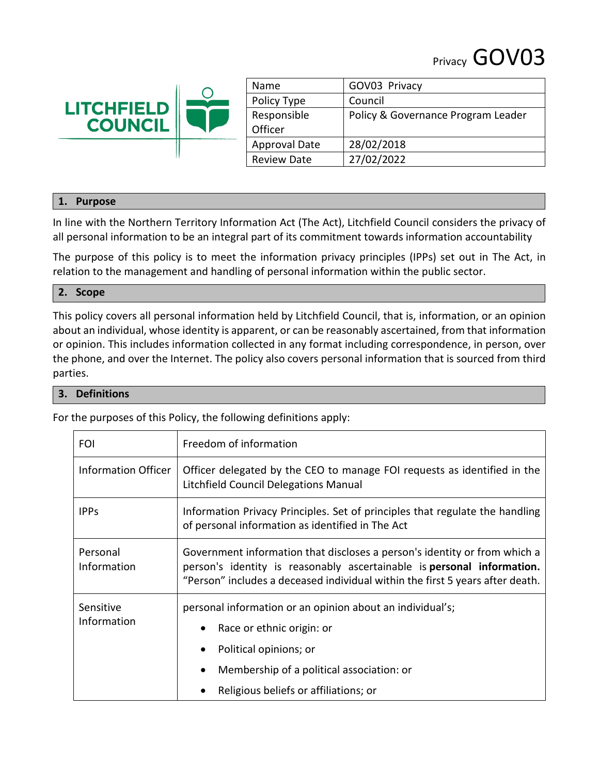# Privacy GOV03



| Name                 | GOV03 Privacy                      |
|----------------------|------------------------------------|
| Policy Type          | Council                            |
| Responsible          | Policy & Governance Program Leader |
| Officer              |                                    |
| <b>Approval Date</b> | 28/02/2018                         |
| <b>Review Date</b>   | 27/02/2022                         |

### **1. Purpose**

In line with the Northern Territory Information Act (The Act), Litchfield Council considers the privacy of all personal information to be an integral part of its commitment towards information accountability

The purpose of this policy is to meet the information privacy principles (IPPs) set out in The Act, in relation to the management and handling of personal information within the public sector.

#### **2. Scope**

This policy covers all personal information held by Litchfield Council, that is, information, or an opinion about an individual, whose identity is apparent, or can be reasonably ascertained, from that information or opinion. This includes information collected in any format including correspondence, in person, over the phone, and over the Internet. The policy also covers personal information that is sourced from third parties.

#### **3. Definitions**

For the purposes of this Policy, the following definitions apply:

| FOI                        | Freedom of information                                                                                                                                                                                                                        |  |
|----------------------------|-----------------------------------------------------------------------------------------------------------------------------------------------------------------------------------------------------------------------------------------------|--|
| <b>Information Officer</b> | Officer delegated by the CEO to manage FOI requests as identified in the<br>Litchfield Council Delegations Manual                                                                                                                             |  |
| <b>IPPs</b>                | Information Privacy Principles. Set of principles that regulate the handling<br>of personal information as identified in The Act                                                                                                              |  |
| Personal<br>Information    | Government information that discloses a person's identity or from which a<br>person's identity is reasonably ascertainable is <b>personal information.</b><br>"Person" includes a deceased individual within the first 5 years after death.   |  |
| Sensitive<br>Information   | personal information or an opinion about an individual's;<br>Race or ethnic origin: or<br>$\bullet$<br>Political opinions; or<br>$\bullet$<br>Membership of a political association: or<br>$\bullet$<br>Religious beliefs or affiliations; or |  |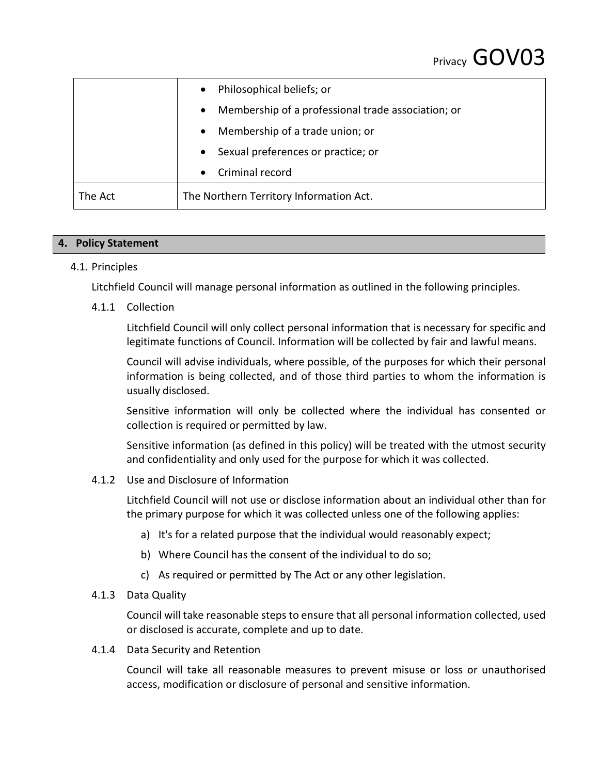|         | Philosophical beliefs; or<br>$\bullet$                          |
|---------|-----------------------------------------------------------------|
|         | Membership of a professional trade association; or<br>$\bullet$ |
|         | Membership of a trade union; or<br>$\bullet$                    |
|         | Sexual preferences or practice; or<br>$\bullet$                 |
|         | Criminal record<br>$\bullet$                                    |
| The Act | The Northern Territory Information Act.                         |

## **4. Policy Statement**

## 4.1. Principles

Litchfield Council will manage personal information as outlined in the following principles.

### 4.1.1 Collection

Litchfield Council will only collect personal information that is necessary for specific and legitimate functions of Council. Information will be collected by fair and lawful means.

Council will advise individuals, where possible, of the purposes for which their personal information is being collected, and of those third parties to whom the information is usually disclosed.

Sensitive information will only be collected where the individual has consented or collection is required or permitted by law.

Sensitive information (as defined in this policy) will be treated with the utmost security and confidentiality and only used for the purpose for which it was collected.

#### 4.1.2 Use and Disclosure of Information

Litchfield Council will not use or disclose information about an individual other than for the primary purpose for which it was collected unless one of the following applies:

- a) It's for a related purpose that the individual would reasonably expect;
- b) Where Council has the consent of the individual to do so;
- c) As required or permitted by The Act or any other legislation.

### 4.1.3 Data Quality

Council will take reasonable steps to ensure that all personal information collected, used or disclosed is accurate, complete and up to date.

4.1.4 Data Security and Retention

Council will take all reasonable measures to prevent misuse or loss or unauthorised access, modification or disclosure of personal and sensitive information.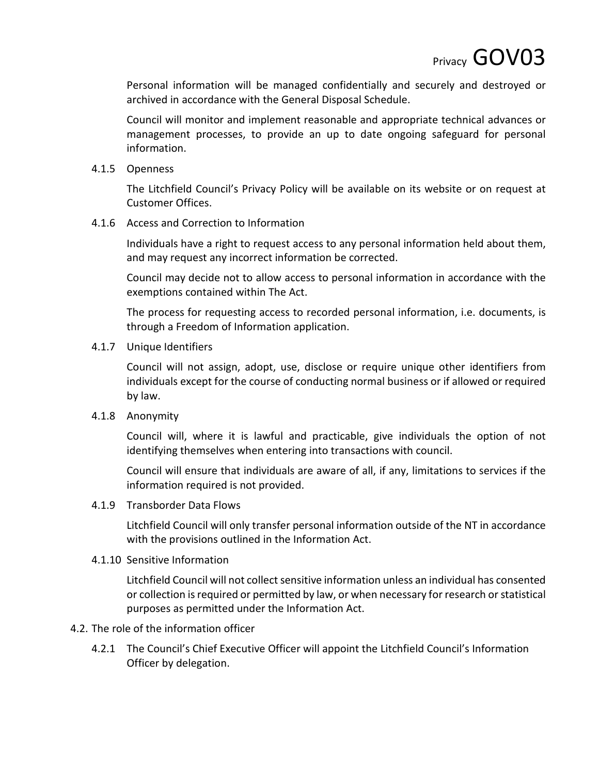Personal information will be managed confidentially and securely and destroyed or archived in accordance with the General Disposal Schedule.

Council will monitor and implement reasonable and appropriate technical advances or management processes, to provide an up to date ongoing safeguard for personal information.

4.1.5 Openness

The Litchfield Council's Privacy Policy will be available on its website or on request at Customer Offices.

4.1.6 Access and Correction to Information

Individuals have a right to request access to any personal information held about them, and may request any incorrect information be corrected.

Council may decide not to allow access to personal information in accordance with the exemptions contained within The Act.

The process for requesting access to recorded personal information, i.e. documents, is through a Freedom of Information application.

4.1.7 Unique Identifiers

Council will not assign, adopt, use, disclose or require unique other identifiers from individuals except for the course of conducting normal business or if allowed or required by law.

4.1.8 Anonymity

Council will, where it is lawful and practicable, give individuals the option of not identifying themselves when entering into transactions with council.

Council will ensure that individuals are aware of all, if any, limitations to services if the information required is not provided.

4.1.9 Transborder Data Flows

Litchfield Council will only transfer personal information outside of the NT in accordance with the provisions outlined in the Information Act.

4.1.10 Sensitive Information

Litchfield Council will not collect sensitive information unless an individual has consented or collection is required or permitted by law, or when necessary for research or statistical purposes as permitted under the Information Act.

## 4.2. The role of the information officer

4.2.1 The Council's Chief Executive Officer will appoint the Litchfield Council's Information Officer by delegation.